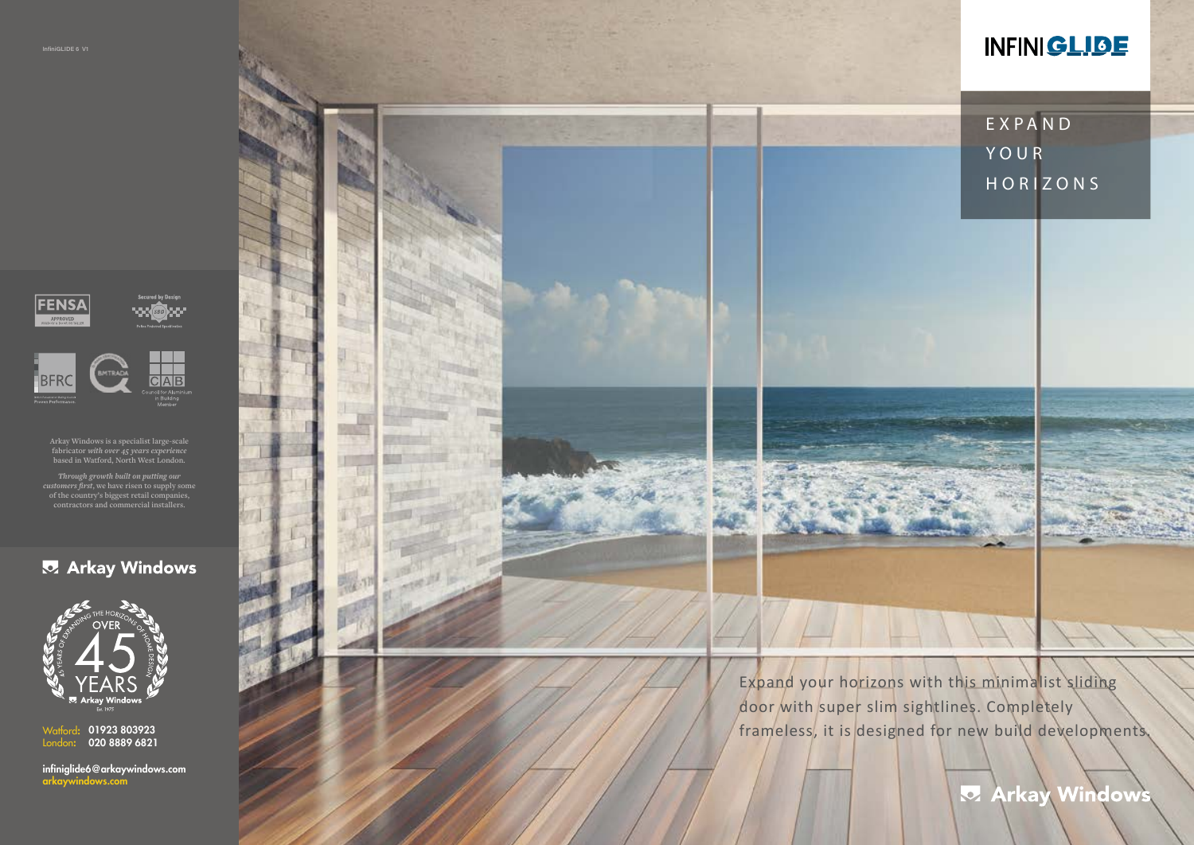infiniglide6@arkaywindows.com arkaywindows.com



01923 803923 020 8889 6821 Watford: London:





**Arkay Windows is a specialist large-scale fabricator** *with over 45 years experience* **based in Watford, North West London.**

> Expand your horizons with this minimalist sliding door with super slim sightlines. Completely frameless, it is designed for new build developments.

# **INFINIGLIBE**

*Through growth built on putting our customers first***, we have risen to supply some of the country's biggest retail companies, contractors and commercial installers.**

### **Z** Arkay Windows



EXPAND YOUR HORIZONS

**Z** Arkay Windows